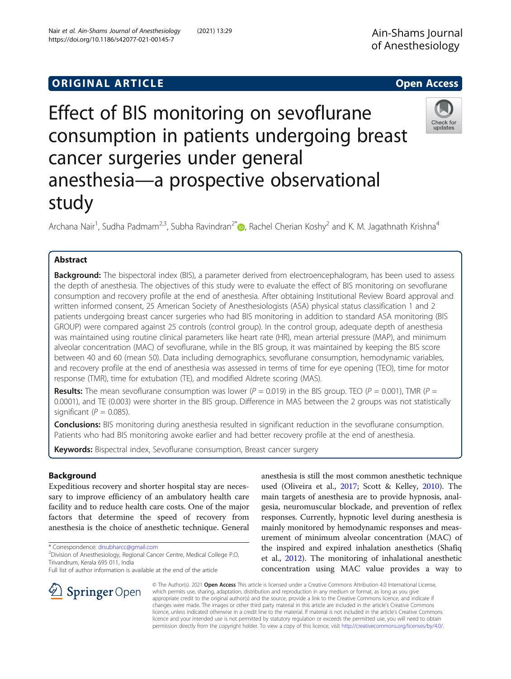## **ORIGINAL ARTICLE CONSERVANCE IN A LOCAL CONSERVANCE IN A LOCAL CONSERVANCE IN A LOCAL CONSERVANCE IN A LOCAL CONS**

# Effect of BIS monitoring on sevoflurane consumption in patients undergoing breast cancer surgeries under general anesthesia—a prospective observational study

Archana Nair<sup>1</sup>[,](http://orcid.org/0000-0001-5630-0457) Sudha Padmam<sup>2,3</sup>, Subha Ravindran<sup>2\*</sup> (@, Rachel Cherian Koshy<sup>2</sup> and K. M. Jagathnath Krishna<sup>4</sup>

## Abstract

**Background:** The bispectoral index (BIS), a parameter derived from electroencephalogram, has been used to assess the depth of anesthesia. The objectives of this study were to evaluate the effect of BIS monitoring on sevoflurane consumption and recovery profile at the end of anesthesia. After obtaining Institutional Review Board approval and written informed consent, 25 American Society of Anesthesiologists (ASA) physical status classification 1 and 2 patients undergoing breast cancer surgeries who had BIS monitoring in addition to standard ASA monitoring (BIS GROUP) were compared against 25 controls (control group). In the control group, adequate depth of anesthesia was maintained using routine clinical parameters like heart rate (HR), mean arterial pressure (MAP), and minimum alveolar concentration (MAC) of sevoflurane, while in the BIS group, it was maintained by keeping the BIS score between 40 and 60 (mean 50). Data including demographics, sevoflurane consumption, hemodynamic variables, and recovery profile at the end of anesthesia was assessed in terms of time for eye opening (TEO), time for motor response (TMR), time for extubation (TE), and modified Aldrete scoring (MAS).

**Results:** The mean sevoflurane consumption was lower ( $P = 0.019$ ) in the BIS group. TEO ( $P = 0.001$ ), TMR ( $P =$ 0.0001), and TE (0.003) were shorter in the BIS group. Difference in MAS between the 2 groups was not statistically significant ( $P = 0.085$ ).

**Conclusions:** BIS monitoring during anesthesia resulted in significant reduction in the sevoflurane consumption. Patients who had BIS monitoring awoke earlier and had better recovery profile at the end of anesthesia.

Keywords: Bispectral index, Sevoflurane consumption, Breast cancer surgery

## Background

Expeditious recovery and shorter hospital stay are necessary to improve efficiency of an ambulatory health care facility and to reduce health care costs. One of the major factors that determine the speed of recovery from anesthesia is the choice of anesthetic technique. General

\* Correspondence: [drsubharcc@gmail.com](mailto:drsubharcc@gmail.com) <sup>2</sup>

Division of Anesthesiology, Regional Cancer Centre, Medical College P.O, Trivandrum, Kerala 695 011, India

Full list of author information is available at the end of the article

anesthesia is still the most common anesthetic technique used (Oliveira et al., [2017](#page-7-0); Scott & Kelley, [2010](#page-7-0)). The main targets of anesthesia are to provide hypnosis, analgesia, neuromuscular blockade, and prevention of reflex responses. Currently, hypnotic level during anesthesia is mainly monitored by hemodynamic responses and measurement of minimum alveolar concentration (MAC) of the inspired and expired inhalation anesthetics (Shafiq et al., [2012](#page-7-0)). The monitoring of inhalational anesthetic concentration using MAC value provides a way to

© The Author(s). 2021 Open Access This article is licensed under a Creative Commons Attribution 4.0 International License, which permits use, sharing, adaptation, distribution and reproduction in any medium or format, as long as you give appropriate credit to the original author(s) and the source, provide a link to the Creative Commons licence, and indicate if changes were made. The images or other third party material in this article are included in the article's Creative Commons licence, unless indicated otherwise in a credit line to the material. If material is not included in the article's Creative Commons licence and your intended use is not permitted by statutory regulation or exceeds the permitted use, you will need to obtain permission directly from the copyright holder. To view a copy of this licence, visit <http://creativecommons.org/licenses/by/4.0/>.



Check for updates

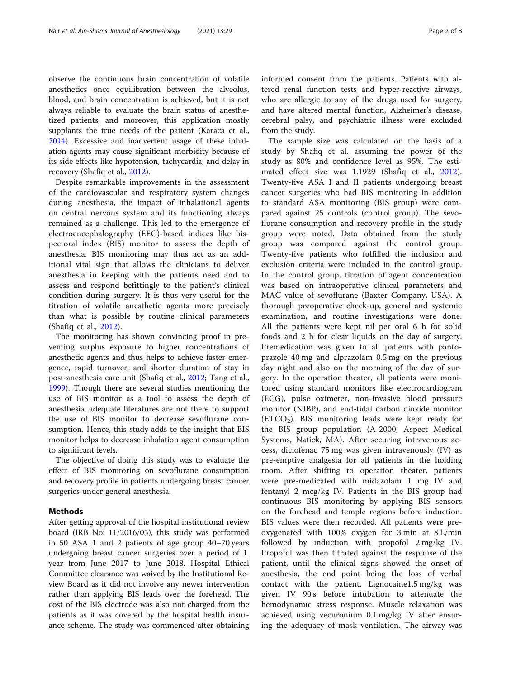observe the continuous brain concentration of volatile anesthetics once equilibration between the alveolus, blood, and brain concentration is achieved, but it is not always reliable to evaluate the brain status of anesthetized patients, and moreover, this application mostly supplants the true needs of the patient (Karaca et al., [2014](#page-7-0)). Excessive and inadvertent usage of these inhalation agents may cause significant morbidity because of its side effects like hypotension, tachycardia, and delay in recovery (Shafiq et al., [2012](#page-7-0)).

Despite remarkable improvements in the assessment of the cardiovascular and respiratory system changes during anesthesia, the impact of inhalational agents on central nervous system and its functioning always remained as a challenge. This led to the emergence of electroencephalography (EEG)-based indices like bispectoral index (BIS) monitor to assess the depth of anesthesia. BIS monitoring may thus act as an additional vital sign that allows the clinicians to deliver anesthesia in keeping with the patients need and to assess and respond befittingly to the patient's clinical condition during surgery. It is thus very useful for the titration of volatile anesthetic agents more precisely than what is possible by routine clinical parameters (Shafiq et al., [2012\)](#page-7-0).

The monitoring has shown convincing proof in preventing surplus exposure to higher concentrations of anesthetic agents and thus helps to achieve faster emergence, rapid turnover, and shorter duration of stay in post-anesthesia care unit (Shafiq et al., [2012;](#page-7-0) Tang et al., [1999](#page-7-0)). Though there are several studies mentioning the use of BIS monitor as a tool to assess the depth of anesthesia, adequate literatures are not there to support the use of BIS monitor to decrease sevoflurane consumption. Hence, this study adds to the insight that BIS monitor helps to decrease inhalation agent consumption to significant levels.

The objective of doing this study was to evaluate the effect of BIS monitoring on sevoflurane consumption and recovery profile in patients undergoing breast cancer surgeries under general anesthesia.

## Methods

After getting approval of the hospital institutional review board (IRB No: 11/2016/05), this study was performed in 50 ASA 1 and 2 patients of age group 40–70 years undergoing breast cancer surgeries over a period of 1 year from June 2017 to June 2018. Hospital Ethical Committee clearance was waived by the Institutional Review Board as it did not involve any newer intervention rather than applying BIS leads over the forehead. The cost of the BIS electrode was also not charged from the patients as it was covered by the hospital health insurance scheme. The study was commenced after obtaining informed consent from the patients. Patients with altered renal function tests and hyper-reactive airways, who are allergic to any of the drugs used for surgery, and have altered mental function, Alzheimer's disease, cerebral palsy, and psychiatric illness were excluded from the study.

The sample size was calculated on the basis of a study by Shafiq et al. assuming the power of the study as 80% and confidence level as 95%. The estimated effect size was 1.1929 (Shafiq et al., [2012](#page-7-0)). Twenty-five ASA I and II patients undergoing breast cancer surgeries who had BIS monitoring in addition to standard ASA monitoring (BIS group) were compared against 25 controls (control group). The sevoflurane consumption and recovery profile in the study group were noted. Data obtained from the study group was compared against the control group. Twenty-five patients who fulfilled the inclusion and exclusion criteria were included in the control group. In the control group, titration of agent concentration was based on intraoperative clinical parameters and MAC value of sevoflurane (Baxter Company, USA). A thorough preoperative check-up, general and systemic examination, and routine investigations were done. All the patients were kept nil per oral 6 h for solid foods and 2 h for clear liquids on the day of surgery. Premedication was given to all patients with pantoprazole 40 mg and alprazolam 0.5 mg on the previous day night and also on the morning of the day of surgery. In the operation theater, all patients were monitored using standard monitors like electrocardiogram (ECG), pulse oximeter, non-invasive blood pressure monitor (NIBP), and end-tidal carbon dioxide monitor  $(ETCO<sub>2</sub>)$ . BIS monitoring leads were kept ready for the BIS group population (A-2000; Aspect Medical Systems, Natick, MA). After securing intravenous access, diclofenac 75 mg was given intravenously (IV) as pre-emptive analgesia for all patients in the holding room. After shifting to operation theater, patients were pre-medicated with midazolam 1 mg IV and fentanyl 2 mcg/kg IV. Patients in the BIS group had continuous BIS monitoring by applying BIS sensors on the forehead and temple regions before induction. BIS values were then recorded. All patients were preoxygenated with 100% oxygen for 3 min at 8 L/min followed by induction with propofol 2 mg/kg IV. Propofol was then titrated against the response of the patient, until the clinical signs showed the onset of anesthesia, the end point being the loss of verbal contact with the patient. Lignocaine1.5 mg/kg was given IV 90s before intubation to attenuate the hemodynamic stress response. Muscle relaxation was achieved using vecuronium 0.1 mg/kg IV after ensuring the adequacy of mask ventilation. The airway was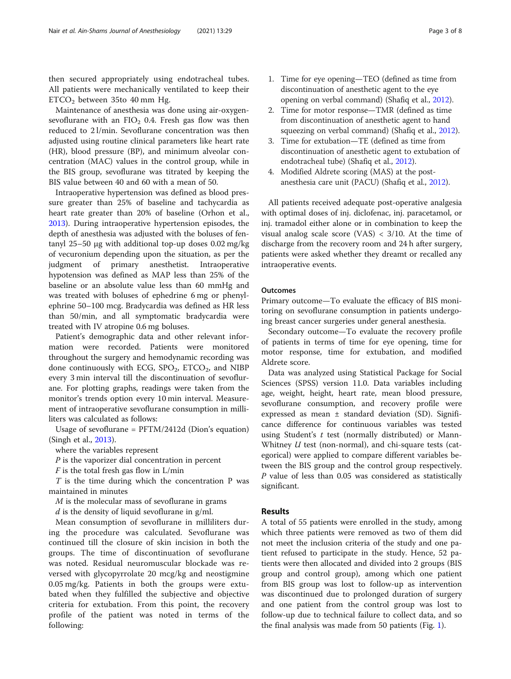then secured appropriately using endotracheal tubes. All patients were mechanically ventilated to keep their  $ETCO<sub>2</sub>$  between 35to 40 mm Hg.

Maintenance of anesthesia was done using air-oxygensevoflurane with an  $FIO<sub>2</sub>$  0.4. Fresh gas flow was then reduced to 2 l/min. Sevoflurane concentration was then adjusted using routine clinical parameters like heart rate (HR), blood pressure (BP), and minimum alveolar concentration (MAC) values in the control group, while in the BIS group, sevoflurane was titrated by keeping the BIS value between 40 and 60 with a mean of 50.

Intraoperative hypertension was defined as blood pressure greater than 25% of baseline and tachycardia as heart rate greater than 20% of baseline (Orhon et al., [2013](#page-7-0)). During intraoperative hypertension episodes, the depth of anesthesia was adjusted with the boluses of fentanyl 25–50 μg with additional top-up doses 0.02 mg/kg of vecuronium depending upon the situation, as per the judgment of primary anesthetist. Intraoperative hypotension was defined as MAP less than 25% of the baseline or an absolute value less than 60 mmHg and was treated with boluses of ephedrine 6 mg or phenylephrine 50–100 mcg. Bradycardia was defined as HR less than 50/min, and all symptomatic bradycardia were treated with IV atropine 0.6 mg boluses.

Patient's demographic data and other relevant information were recorded. Patients were monitored throughout the surgery and hemodynamic recording was done continuously with ECG,  $SPO<sub>2</sub>$ , ETCO<sub>2</sub>, and NIBP every 3 min interval till the discontinuation of sevoflurane. For plotting graphs, readings were taken from the monitor's trends option every 10 min interval. Measurement of intraoperative sevoflurane consumption in milliliters was calculated as follows:

Usage of sevoflurane = PFTM/2412d (Dion's equation) (Singh et al., [2013](#page-7-0)).

where the variables represent

 $P$  is the vaporizer dial concentration in percent

 $F$  is the total fresh gas flow in L/min

 $T$  is the time during which the concentration  $P$  was maintained in minutes

M is the molecular mass of sevoflurane in grams

 $d$  is the density of liquid sevoflurane in g/ml.

Mean consumption of sevoflurane in milliliters during the procedure was calculated. Sevoflurane was continued till the closure of skin incision in both the groups. The time of discontinuation of sevoflurane was noted. Residual neuromuscular blockade was reversed with glycopyrrolate 20 mcg/kg and neostigmine 0.05 mg/kg. Patients in both the groups were extubated when they fulfilled the subjective and objective criteria for extubation. From this point, the recovery profile of the patient was noted in terms of the following:

- 2. Time for motor response—TMR (defined as time from discontinuation of anesthetic agent to hand squeezing on verbal command) (Shafiq et al., [2012\)](#page-7-0).
- 3. Time for extubation—TE (defined as time from discontinuation of anesthetic agent to extubation of endotracheal tube) (Shafiq et al., [2012](#page-7-0)).
- 4. Modified Aldrete scoring (MAS) at the postanesthesia care unit (PACU) (Shafiq et al., [2012\)](#page-7-0).

All patients received adequate post-operative analgesia with optimal doses of inj. diclofenac, inj. paracetamol, or inj. tramadol either alone or in combination to keep the visual analog scale score (VAS) < 3/10. At the time of discharge from the recovery room and 24 h after surgery, patients were asked whether they dreamt or recalled any intraoperative events.

## **Outcomes**

Primary outcome—To evaluate the efficacy of BIS monitoring on sevoflurane consumption in patients undergoing breast cancer surgeries under general anesthesia.

Secondary outcome—To evaluate the recovery profile of patients in terms of time for eye opening, time for motor response, time for extubation, and modified Aldrete score.

Data was analyzed using Statistical Package for Social Sciences (SPSS) version 11.0. Data variables including age, weight, height, heart rate, mean blood pressure, sevoflurane consumption, and recovery profile were expressed as mean ± standard deviation (SD). Significance difference for continuous variables was tested using Student's  $t$  test (normally distributed) or Mann-Whitney  $U$  test (non-normal), and chi-square tests (categorical) were applied to compare different variables between the BIS group and the control group respectively. P value of less than 0.05 was considered as statistically significant.

## Results

A total of 55 patients were enrolled in the study, among which three patients were removed as two of them did not meet the inclusion criteria of the study and one patient refused to participate in the study. Hence, 52 patients were then allocated and divided into 2 groups (BIS group and control group), among which one patient from BIS group was lost to follow-up as intervention was discontinued due to prolonged duration of surgery and one patient from the control group was lost to follow-up due to technical failure to collect data, and so the final analysis was made from 50 patients (Fig. [1\)](#page-3-0).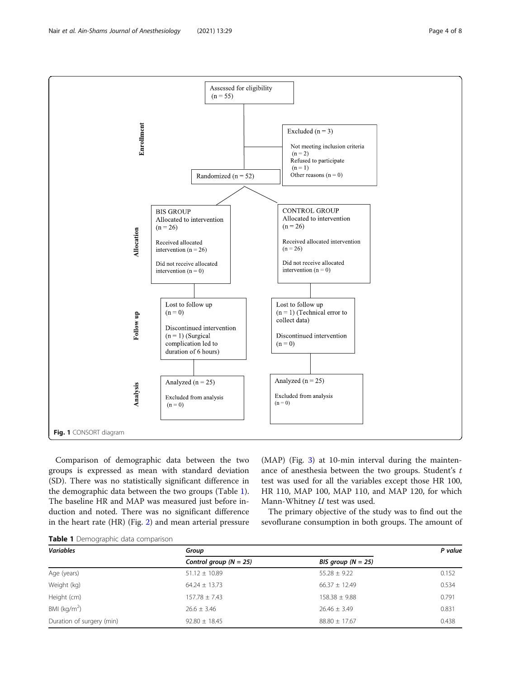<span id="page-3-0"></span>

Comparison of demographic data between the two groups is expressed as mean with standard deviation (SD). There was no statistically significant difference in the demographic data between the two groups (Table 1). The baseline HR and MAP was measured just before induction and noted. There was no significant difference in the heart rate (HR) (Fig. [2\)](#page-4-0) and mean arterial pressure (MAP) (Fig. [3](#page-4-0)) at 10-min interval during the maintenance of anesthesia between the two groups. Student's t test was used for all the variables except those HR 100, HR 110, MAP 100, MAP 110, and MAP 120, for which Mann-Whitney U test was used.

The primary objective of the study was to find out the sevoflurane consumption in both groups. The amount of

|  | Table 1 Demographic data comparison |  |  |
|--|-------------------------------------|--|--|
|--|-------------------------------------|--|--|

| <b>Variables</b>          | Group                      | P value              |       |
|---------------------------|----------------------------|----------------------|-------|
|                           | Control group ( $N = 25$ ) | BIS group $(N = 25)$ |       |
| Age (years)               | $51.12 \pm 10.89$          | $55.28 \pm 9.22$     | 0.152 |
| Weight (kg)               | $64.24 \pm 13.73$          | $66.37 \pm 12.49$    | 0.534 |
| Height (cm)               | $157.78 \pm 7.43$          | $158.38 \pm 9.88$    | 0.791 |
| BMI ( $kg/m2$ )           | $26.6 \pm 3.46$            | $26.46 \pm 3.49$     | 0.831 |
| Duration of surgery (min) | $92.80 \pm 18.45$          | $88.80 \pm 17.67$    | 0.438 |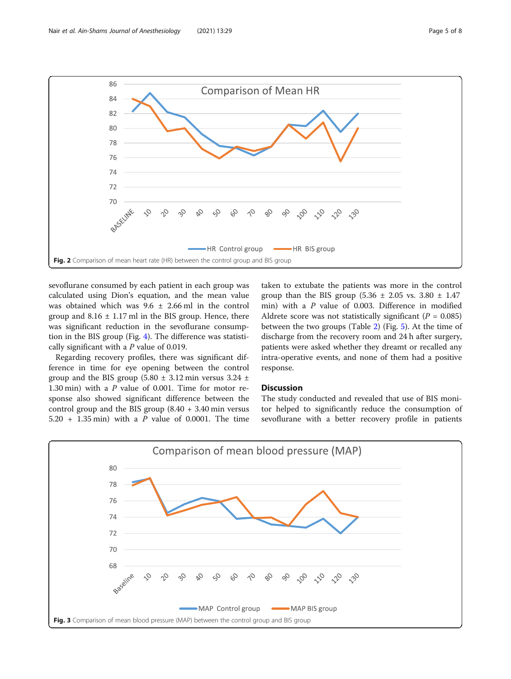<span id="page-4-0"></span>

sevoflurane consumed by each patient in each group was calculated using Dion's equation, and the mean value was obtained which was  $9.6 \pm 2.66$  ml in the control group and  $8.16 \pm 1.17$  ml in the BIS group. Hence, there was significant reduction in the sevoflurane consumption in the BIS group (Fig. [4](#page-5-0)). The difference was statistically significant with a  $P$  value of 0.019.

Regarding recovery profiles, there was significant difference in time for eye opening between the control group and the BIS group (5.80  $\pm$  3.12 min versus 3.24  $\pm$ 1.30 min) with a P value of 0.001. Time for motor response also showed significant difference between the control group and the BIS group  $(8.40 + 3.40 \text{ min}$  versus 5.20 + 1.35 min) with a P value of 0.0001. The time

taken to extubate the patients was more in the control group than the BIS group  $(5.36 \pm 2.05 \text{ vs. } 3.80 \pm 1.47)$ min) with a P value of 0.003. Difference in modified Aldrete score was not statistically significant ( $P = 0.085$ ) between the two groups (Table [2](#page-5-0)) (Fig. [5](#page-6-0)). At the time of discharge from the recovery room and 24 h after surgery, patients were asked whether they dreamt or recalled any intra-operative events, and none of them had a positive response.

## Discussion

The study conducted and revealed that use of BIS monitor helped to significantly reduce the consumption of sevoflurane with a better recovery profile in patients

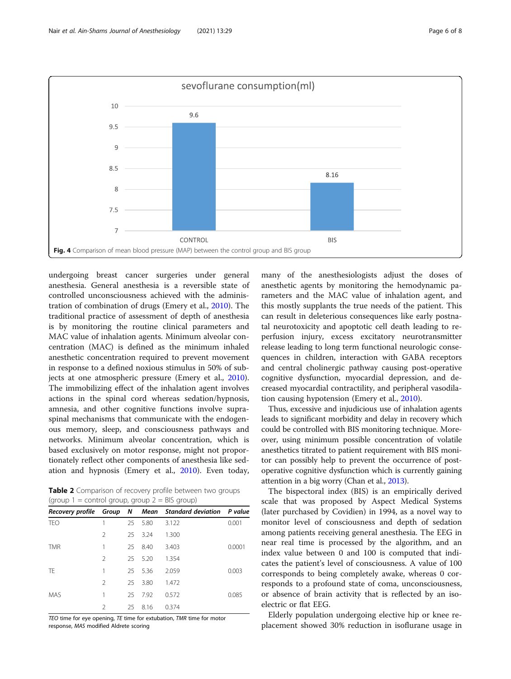<span id="page-5-0"></span>

undergoing breast cancer surgeries under general anesthesia. General anesthesia is a reversible state of controlled unconsciousness achieved with the administration of combination of drugs (Emery et al., [2010\)](#page-7-0). The traditional practice of assessment of depth of anesthesia is by monitoring the routine clinical parameters and MAC value of inhalation agents. Minimum alveolar concentration (MAC) is defined as the minimum inhaled anesthetic concentration required to prevent movement in response to a defined noxious stimulus in 50% of subjects at one atmospheric pressure (Emery et al., [2010](#page-7-0)). The immobilizing effect of the inhalation agent involves actions in the spinal cord whereas sedation/hypnosis, amnesia, and other cognitive functions involve supraspinal mechanisms that communicate with the endogenous memory, sleep, and consciousness pathways and networks. Minimum alveolar concentration, which is based exclusively on motor response, might not proportionately reflect other components of anesthesia like sedation and hypnosis (Emery et al., [2010\)](#page-7-0). Even today,

Table 2 Comparison of recovery profile between two groups (group  $1 =$  control group, group  $2 =$  BIS group)

|            |                |    |         | Recovery profile Group N Mean Standard deviation P value |        |
|------------|----------------|----|---------|----------------------------------------------------------|--------|
| <b>TEO</b> |                | 25 | 5.80    | 3.122                                                    | 0.001  |
|            | $\mathcal{P}$  | 25 | 3.24    | 1.300                                                    |        |
| <b>TMR</b> | 1              | 25 | 8.40    | 3.403                                                    | 0.0001 |
|            | $\mathcal{P}$  |    | 25 5.20 | 1.354                                                    |        |
| TF         | 1              | 25 | 5.36    | 2.059                                                    | 0.003  |
|            | $\mathfrak{D}$ | 25 | 3.80    | 1.472                                                    |        |
| <b>MAS</b> | 1              | 25 | 7.92    | 0.572                                                    | 0.085  |
|            | $\mathcal{P}$  | 25 | 8.16    | 0.374                                                    |        |

TEO time for eye opening, TE time for extubation, TMR time for motor response, MAS modified Aldrete scoring

many of the anesthesiologists adjust the doses of anesthetic agents by monitoring the hemodynamic parameters and the MAC value of inhalation agent, and this mostly supplants the true needs of the patient. This can result in deleterious consequences like early postnatal neurotoxicity and apoptotic cell death leading to reperfusion injury, excess excitatory neurotransmitter release leading to long term functional neurologic consequences in children, interaction with GABA receptors and central cholinergic pathway causing post-operative cognitive dysfunction, myocardial depression, and decreased myocardial contractility, and peripheral vasodilation causing hypotension (Emery et al., [2010\)](#page-7-0).

Thus, excessive and injudicious use of inhalation agents leads to significant morbidity and delay in recovery which could be controlled with BIS monitoring technique. Moreover, using minimum possible concentration of volatile anesthetics titrated to patient requirement with BIS monitor can possibly help to prevent the occurrence of postoperative cognitive dysfunction which is currently gaining attention in a big worry (Chan et al., [2013](#page-7-0)).

The bispectoral index (BIS) is an empirically derived scale that was proposed by Aspect Medical Systems (later purchased by Covidien) in 1994, as a novel way to monitor level of consciousness and depth of sedation among patients receiving general anesthesia. The EEG in near real time is processed by the algorithm, and an index value between 0 and 100 is computed that indicates the patient's level of consciousness. A value of 100 corresponds to being completely awake, whereas 0 corresponds to a profound state of coma, unconsciousness, or absence of brain activity that is reflected by an isoelectric or flat EEG.

Elderly population undergoing elective hip or knee replacement showed 30% reduction in isoflurane usage in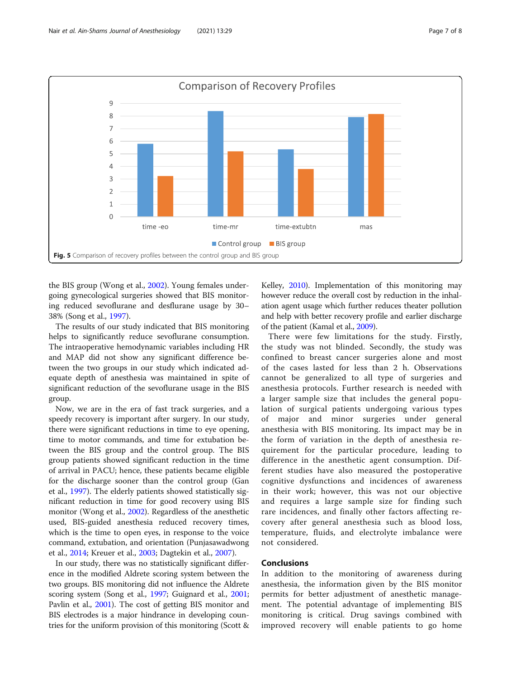<span id="page-6-0"></span>

the BIS group (Wong et al., [2002\)](#page-7-0). Young females undergoing gynecological surgeries showed that BIS monitoring reduced sevoflurane and desflurane usage by 30– 38% (Song et al., [1997](#page-7-0)).

The results of our study indicated that BIS monitoring helps to significantly reduce sevoflurane consumption. The intraoperative hemodynamic variables including HR and MAP did not show any significant difference between the two groups in our study which indicated adequate depth of anesthesia was maintained in spite of significant reduction of the sevoflurane usage in the BIS group.

Now, we are in the era of fast track surgeries, and a speedy recovery is important after surgery. In our study, there were significant reductions in time to eye opening, time to motor commands, and time for extubation between the BIS group and the control group. The BIS group patients showed significant reduction in the time of arrival in PACU; hence, these patients became eligible for the discharge sooner than the control group (Gan et al., [1997](#page-7-0)). The elderly patients showed statistically significant reduction in time for good recovery using BIS monitor (Wong et al., [2002\)](#page-7-0). Regardless of the anesthetic used, BIS-guided anesthesia reduced recovery times, which is the time to open eyes, in response to the voice command, extubation, and orientation (Punjasawadwong et al., [2014](#page-7-0); Kreuer et al., [2003](#page-7-0); Dagtekin et al., [2007](#page-7-0)).

In our study, there was no statistically significant difference in the modified Aldrete scoring system between the two groups. BIS monitoring did not influence the Aldrete scoring system (Song et al., [1997](#page-7-0); Guignard et al., [2001](#page-7-0); Pavlin et al., [2001](#page-7-0)). The cost of getting BIS monitor and BIS electrodes is a major hindrance in developing countries for the uniform provision of this monitoring (Scott &

Kelley, [2010](#page-7-0)). Implementation of this monitoring may however reduce the overall cost by reduction in the inhalation agent usage which further reduces theater pollution and help with better recovery profile and earlier discharge of the patient (Kamal et al., [2009\)](#page-7-0).

There were few limitations for the study. Firstly, the study was not blinded. Secondly, the study was confined to breast cancer surgeries alone and most of the cases lasted for less than 2 h. Observations cannot be generalized to all type of surgeries and anesthesia protocols. Further research is needed with a larger sample size that includes the general population of surgical patients undergoing various types of major and minor surgeries under general anesthesia with BIS monitoring. Its impact may be in the form of variation in the depth of anesthesia requirement for the particular procedure, leading to difference in the anesthetic agent consumption. Different studies have also measured the postoperative cognitive dysfunctions and incidences of awareness in their work; however, this was not our objective and requires a large sample size for finding such rare incidences, and finally other factors affecting recovery after general anesthesia such as blood loss, temperature, fluids, and electrolyte imbalance were not considered.

## Conclusions

In addition to the monitoring of awareness during anesthesia, the information given by the BIS monitor permits for better adjustment of anesthetic management. The potential advantage of implementing BIS monitoring is critical. Drug savings combined with improved recovery will enable patients to go home